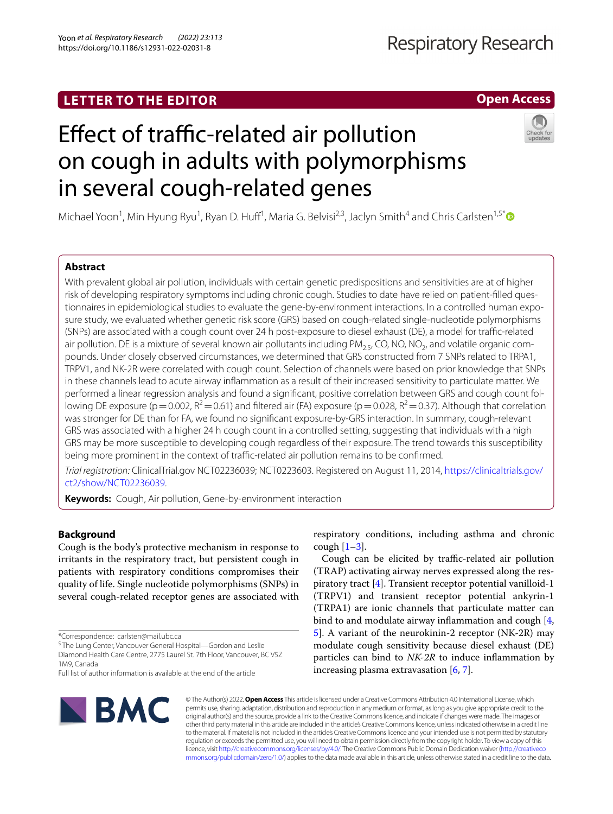## **LETTER TO THE EDITOR**

### **Open Access**

# Effect of traffic-related air pollution on cough in adults with polymorphisms in several cough-related genes

Michael Yoon<sup>1</sup>, Min Hyung Ryu<sup>1</sup>, Ryan D. Huff<sup>1</sup>, Maria G. Belvisi<sup>2,3</sup>, Jaclyn Smith<sup>4</sup> and Chris Carlsten<sup>1,5\*</sup>

#### **Abstract**

With prevalent global air pollution, individuals with certain genetic predispositions and sensitivities are at of higher risk of developing respiratory symptoms including chronic cough. Studies to date have relied on patient-flled questionnaires in epidemiological studies to evaluate the gene-by-environment interactions. In a controlled human exposure study, we evaluated whether genetic risk score (GRS) based on cough-related single-nucleotide polymorphisms (SNPs) are associated with a cough count over 24 h post-exposure to diesel exhaust (DE), a model for trafc-related air pollution. DE is a mixture of several known air pollutants including PM<sub>2.5</sub>, CO, NO, NO<sub>2</sub>, and volatile organic compounds. Under closely observed circumstances, we determined that GRS constructed from 7 SNPs related to TRPA1, TRPV1, and NK-2R were correlated with cough count. Selection of channels were based on prior knowledge that SNPs in these channels lead to acute airway infammation as a result of their increased sensitivity to particulate matter. We performed a linear regression analysis and found a signifcant, positive correlation between GRS and cough count following DE exposure (p=0.002,  $R^2$ =0.61) and filtered air (FA) exposure (p=0.028,  $R^2$ =0.37). Although that correlation was stronger for DE than for FA, we found no signifcant exposure-by-GRS interaction. In summary, cough-relevant GRS was associated with a higher 24 h cough count in a controlled setting, suggesting that individuals with a high GRS may be more susceptible to developing cough regardless of their exposure. The trend towards this susceptibility being more prominent in the context of traffic-related air pollution remains to be confirmed.

*Trial registration:* ClinicalTrial.gov NCT02236039; NCT0223603. Registered on August 11, 2014, [https://clinicaltrials.gov/](https://clinicaltrials.gov/ct2/show/NCT02236039) [ct2/show/NCT02236039](https://clinicaltrials.gov/ct2/show/NCT02236039).

**Keywords:** Cough, Air pollution, Gene-by-environment interaction

#### **Background**

Cough is the body's protective mechanism in response to irritants in the respiratory tract, but persistent cough in patients with respiratory conditions compromises their quality of life. Single nucleotide polymorphisms (SNPs) in several cough-related receptor genes are associated with

\*Correspondence: carlsten@mail.ubc.ca

<sup>5</sup> The Lung Center, Vancouver General Hospital—Gordon and Leslie Diamond Health Care Centre, 2775 Laurel St. 7th Floor, Vancouver, BC V5Z 1M9, Canada

Full list of author information is available at the end of the article



respiratory conditions, including asthma and chronic cough  $[1-3]$  $[1-3]$ .

Cough can be elicited by traffic-related air pollution (TRAP) activating airway nerves expressed along the respiratory tract [[4\]](#page-3-2). Transient receptor potential vanilloid-1 (TRPV1) and transient receptor potential ankyrin-1 (TRPA1) are ionic channels that particulate matter can bind to and modulate airway infammation and cough [\[4](#page-3-2), [5\]](#page-3-3). A variant of the neurokinin-2 receptor (NK-2R) may modulate cough sensitivity because diesel exhaust (DE) particles can bind to *NK-2R* to induce infammation by increasing plasma extravasation [\[6,](#page-3-4) [7](#page-3-5)].

© The Author(s) 2022. **Open Access** This article is licensed under a Creative Commons Attribution 4.0 International License, which permits use, sharing, adaptation, distribution and reproduction in any medium or format, as long as you give appropriate credit to the original author(s) and the source, provide a link to the Creative Commons licence, and indicate if changes were made. The images or other third party material in this article are included in the article's Creative Commons licence, unless indicated otherwise in a credit line to the material. If material is not included in the article's Creative Commons licence and your intended use is not permitted by statutory regulation or exceeds the permitted use, you will need to obtain permission directly from the copyright holder. To view a copy of this licence, visit [http://creativecommons.org/licenses/by/4.0/.](http://creativecommons.org/licenses/by/4.0/) The Creative Commons Public Domain Dedication waiver ([http://creativeco](http://creativecommons.org/publicdomain/zero/1.0/) [mmons.org/publicdomain/zero/1.0/](http://creativecommons.org/publicdomain/zero/1.0/)) applies to the data made available in this article, unless otherwise stated in a credit line to the data.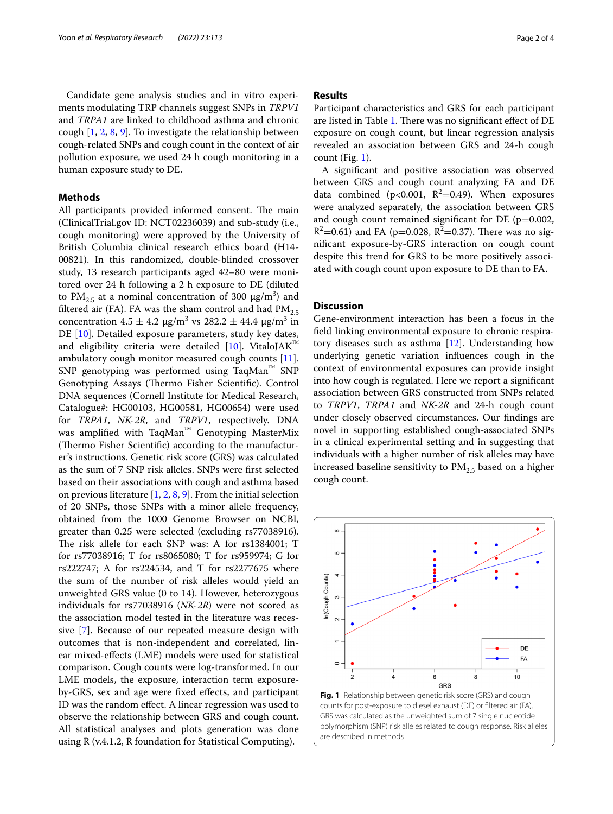Candidate gene analysis studies and in vitro experiments modulating TRP channels suggest SNPs in *TRPV1* and *TRPA1* are linked to childhood asthma and chronic cough [\[1](#page-3-0), [2](#page-3-6), [8,](#page-3-7) [9\]](#page-3-8). To investigate the relationship between cough-related SNPs and cough count in the context of air pollution exposure, we used 24 h cough monitoring in a human exposure study to DE.

#### **Methods**

All participants provided informed consent. The main (ClinicalTrial.gov ID: NCT02236039) and sub-study (i.e., cough monitoring) were approved by the University of British Columbia clinical research ethics board (H14- 00821). In this randomized, double-blinded crossover study, 13 research participants aged 42–80 were monitored over 24 h following a 2 h exposure to DE (diluted to  $PM_{2.5}$  at a nominal concentration of 300  $\mu$ g/m<sup>3</sup>) and filtered air (FA). FA was the sham control and had  $PM_{2.5}$ concentration  $4.5 \pm 4.2 \,\mu\text{g/m}^3 \text{ vs } 282.2 \pm 44.4 \,\mu\text{g/m}^3 \text{ in}$ DE [[10\]](#page-3-9). Detailed exposure parameters, study key dates, and eligibility criteria were detailed [[10\]](#page-3-9). VitaloJAK™ ambulatory cough monitor measured cough counts [\[11](#page-3-10)]. SNP genotyping was performed using TaqMan™ SNP Genotyping Assays (Thermo Fisher Scientific). Control DNA sequences (Cornell Institute for Medical Research, Catalogue#: HG00103, HG00581, HG00654) were used for *TRPA1*, *NK-2R*, and *TRPV1*, respectively. DNA was amplified with TaqMan™ Genotyping MasterMix (Thermo Fisher Scientific) according to the manufacturer's instructions. Genetic risk score (GRS) was calculated as the sum of 7 SNP risk alleles. SNPs were frst selected based on their associations with cough and asthma based on previous literature [\[1](#page-3-0), [2,](#page-3-6) [8,](#page-3-7) [9\]](#page-3-8). From the initial selection of 20 SNPs, those SNPs with a minor allele frequency, obtained from the 1000 Genome Browser on NCBI, greater than 0.25 were selected (excluding rs77038916). The risk allele for each SNP was: A for rs1384001; T for rs77038916; T for rs8065080; T for rs959974; G for rs222747; A for rs224534, and T for rs2277675 where the sum of the number of risk alleles would yield an unweighted GRS value (0 to 14). However, heterozygous individuals for rs77038916 (*NK-2R*) were not scored as the association model tested in the literature was recessive [[7\]](#page-3-5). Because of our repeated measure design with outcomes that is non-independent and correlated, linear mixed-efects (LME) models were used for statistical comparison. Cough counts were log-transformed. In our LME models, the exposure, interaction term exposureby-GRS, sex and age were fxed efects, and participant ID was the random efect. A linear regression was used to observe the relationship between GRS and cough count. All statistical analyses and plots generation was done using R (v.4.1.2, R foundation for Statistical Computing).

#### **Results**

Participant characteristics and GRS for each participant are listed in Table [1](#page-2-0). There was no significant effect of DE exposure on cough count, but linear regression analysis revealed an association between GRS and 24-h cough count (Fig. [1\)](#page-1-0).

A signifcant and positive association was observed between GRS and cough count analyzing FA and DE data combined ( $p < 0.001$ ,  $R^2 = 0.49$ ). When exposures were analyzed separately, the association between GRS and cough count remained significant for DE ( $p=0.002$ ,  $R^2$ =0.61) and FA (p=0.028,  $R^2$ =0.37). There was no signifcant exposure-by-GRS interaction on cough count despite this trend for GRS to be more positively associated with cough count upon exposure to DE than to FA.

#### **Discussion**

Gene-environment interaction has been a focus in the feld linking environmental exposure to chronic respiratory diseases such as asthma [\[12](#page-3-11)]. Understanding how underlying genetic variation infuences cough in the context of environmental exposures can provide insight into how cough is regulated. Here we report a signifcant association between GRS constructed from SNPs related to *TRPV1*, *TRPA1* and *NK-2R* and 24-h cough count under closely observed circumstances. Our fndings are novel in supporting established cough-associated SNPs in a clinical experimental setting and in suggesting that individuals with a higher number of risk alleles may have increased baseline sensitivity to  $PM_{2.5}$  based on a higher cough count.



<span id="page-1-0"></span>**Fig. 1** Relationship between genetic risk score (GRS) and cough counts for post-exposure to diesel exhaust (DE) or fltered air (FA). GRS was calculated as the unweighted sum of 7 single nucleotide polymorphism (SNP) risk alleles related to cough response. Risk alleles are described in methods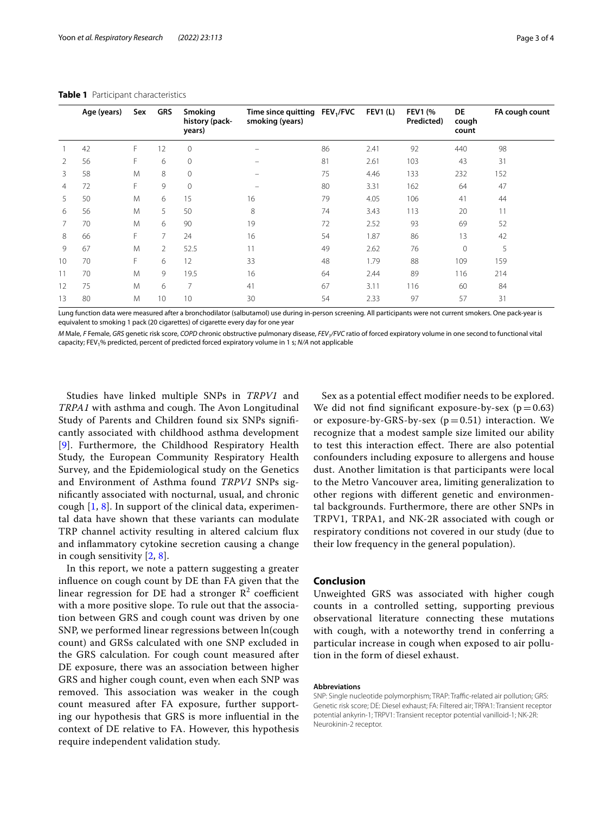|    | Age (years) | Sex | <b>GRS</b>     | <b>Smoking</b><br>history (pack-<br>years) | Time since quitting<br>smoking (years) | FEV <sub>1</sub> /FVC | <b>FEV1 (L)</b> | <b>FEV1 (%</b><br>Predicted) | DE<br>cough<br>count | FA cough count |
|----|-------------|-----|----------------|--------------------------------------------|----------------------------------------|-----------------------|-----------------|------------------------------|----------------------|----------------|
|    | 42          | F   | 12             | 0                                          |                                        | 86                    | 2.41            | 92                           | 440                  | 98             |
|    | 56          | F   | 6              | 0                                          |                                        | 81                    | 2.61            | 103                          | 43                   | 31             |
| 3  | 58          | M   | 8              | 0                                          | $\overline{\phantom{0}}$               | 75                    | 4.46            | 133                          | 232                  | 152            |
| 4  | 72          | F   | 9              | $\Omega$                                   |                                        | 80                    | 3.31            | 162                          | 64                   | 47             |
| 5  | 50          | M   | 6              | 15                                         | 16                                     | 79                    | 4.05            | 106                          | 41                   | 44             |
| 6  | 56          | M   | 5              | 50                                         | 8                                      | 74                    | 3.43            | 113                          | 20                   | 11             |
|    | 70          | M   | 6              | 90                                         | 19                                     | 72                    | 2.52            | 93                           | 69                   | 52             |
| 8  | 66          | F   | $\overline{7}$ | 24                                         | 16                                     | 54                    | 1.87            | 86                           | 13                   | 42             |
| 9  | 67          | M   | 2              | 52.5                                       | 11                                     | 49                    | 2.62            | 76                           | 0                    | 5              |
| 10 | 70          | F   | 6              | 12                                         | 33                                     | 48                    | 1.79            | 88                           | 109                  | 159            |
| 11 | 70          | M   | 9              | 19.5                                       | 16                                     | 64                    | 2.44            | 89                           | 116                  | 214            |
| 12 | 75          | M   | 6              | 7                                          | 41                                     | 67                    | 3.11            | 116                          | 60                   | 84             |
| 13 | 80          | M   | 10             | 10                                         | 30                                     | 54                    | 2.33            | 97                           | 57                   | 31             |

#### <span id="page-2-0"></span>**Table 1** Participant characteristics

Lung function data were measured after a bronchodilator (salbutamol) use during in-person screening. All participants were not current smokers. One pack-year is equivalent to smoking 1 pack (20 cigarettes) of cigarette every day for one year

*M* Male, *F* Female, *GRS* genetic risk score, *COPD* chronic obstructive pulmonary disease, *FEV<sub>1</sub>/FVC* ratio of forced expiratory volume in one second to functional vital capacity; FEV1% predicted, percent of predicted forced expiratory volume in 1 s; *N/A* not applicable

Studies have linked multiple SNPs in *TRPV1* and *TRPA1* with asthma and cough. The Avon Longitudinal Study of Parents and Children found six SNPs signifcantly associated with childhood asthma development [[9](#page-3-8)]. Furthermore, the Childhood Respiratory Health Study, the European Community Respiratory Health Survey, and the Epidemiological study on the Genetics and Environment of Asthma found *TRPV1* SNPs signifcantly associated with nocturnal, usual, and chronic cough  $[1, 8]$  $[1, 8]$  $[1, 8]$  $[1, 8]$ . In support of the clinical data, experimental data have shown that these variants can modulate TRP channel activity resulting in altered calcium fux and infammatory cytokine secretion causing a change in cough sensitivity [[2](#page-3-6), [8\]](#page-3-7).

In this report, we note a pattern suggesting a greater infuence on cough count by DE than FA given that the linear regression for DE had a stronger  $\mathbb{R}^2$  coefficient with a more positive slope. To rule out that the association between GRS and cough count was driven by one SNP, we performed linear regressions between ln(cough count) and GRSs calculated with one SNP excluded in the GRS calculation. For cough count measured after DE exposure, there was an association between higher GRS and higher cough count, even when each SNP was removed. This association was weaker in the cough count measured after FA exposure, further supporting our hypothesis that GRS is more infuential in the context of DE relative to FA. However, this hypothesis require independent validation study.

Sex as a potential effect modifier needs to be explored. We did not find significant exposure-by-sex ( $p=0.63$ ) or exposure-by-GRS-by-sex  $(p=0.51)$  interaction. We recognize that a modest sample size limited our ability to test this interaction effect. There are also potential confounders including exposure to allergens and house dust. Another limitation is that participants were local to the Metro Vancouver area, limiting generalization to other regions with diferent genetic and environmental backgrounds. Furthermore, there are other SNPs in TRPV1, TRPA1, and NK-2R associated with cough or respiratory conditions not covered in our study (due to their low frequency in the general population).

#### **Conclusion**

Unweighted GRS was associated with higher cough counts in a controlled setting, supporting previous observational literature connecting these mutations with cough, with a noteworthy trend in conferring a particular increase in cough when exposed to air pollution in the form of diesel exhaust.

#### **Abbreviations**

SNP: Single nucleotide polymorphism; TRAP: Traffic-related air pollution; GRS: Genetic risk score; DE: Diesel exhaust; FA: Filtered air; TRPA1: Transient receptor potential ankyrin-1; TRPV1: Transient receptor potential vanilloid-1; NK-2R: Neurokinin-2 receptor.